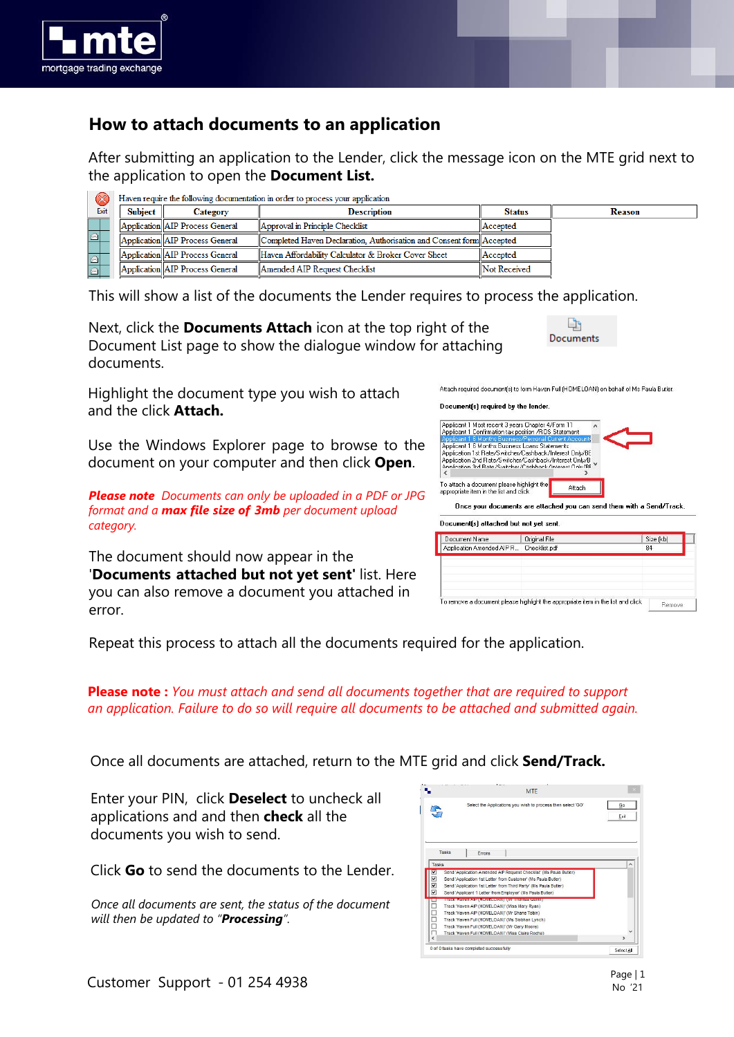

## **How to attach documents to an application**

After submitting an application to the Lender, click the message icon on the MTE grid next to the application to open the **Document List.**

|  | $\infty$ | Haven require the following documentation in order to process your application |                                 |                                                                      |                     |        |
|--|----------|--------------------------------------------------------------------------------|---------------------------------|----------------------------------------------------------------------|---------------------|--------|
|  | Exit     | <b>Subject</b>                                                                 | <b>Category</b>                 | <b>Description</b>                                                   | <b>Status</b>       | Reason |
|  |          |                                                                                | Application AIP Process General | Approval in Principle Checklist                                      | <b>Accepted</b>     |        |
|  |          |                                                                                | Application AIP Process General | Completed Haven Declaration, Authorisation and Consent form Accepted |                     |        |
|  |          |                                                                                | Application AIP Process General | Haven Affordability Calculator & Broker Cover Sheet                  | <b>IAccepted</b>    |        |
|  |          |                                                                                | Application AIP Process General | Amended AIP Request Checklist                                        | <b>Not Received</b> |        |

This will show a list of the documents the Lender requires to process the application.

Next, click the **Documents Attach** icon at the top right of the Document List page to show the dialogue window for attaching documents.

البا Documents

Highlight the document type you wish to attach and the click **Attach.**

Use the Windows Explorer page to browse to the document on your computer and then click **Open**.

*Please note: Documents can only be uploaded in a PDF or JPG format and a max filelsize of 3mb per document upload category.*

The document should now appear in the '**Documents)attached but not yet sent'**'list. Here you can also remove a document you attached in error.

Attach required document(s) to form Haven Full (HOME) OAN) on behalf of Ms Paula Butler

## Document(s) required by the lender.

| Once your documents are attached you can send them with a Send/Track.                                                                                                                                                           |        |  |  |
|---------------------------------------------------------------------------------------------------------------------------------------------------------------------------------------------------------------------------------|--------|--|--|
| To attach a document please highlight the<br>appropriate item in the list and click                                                                                                                                             | Attach |  |  |
| Applicant 1 6 Months Business Loans Statements<br>Application 1st Rate/Switcher/Cashback/Interest Only/BE<br>Application 2nd Rate/Switcher/Cashback/Interest Only/B<br>Application 3rd Bate/Switcher/Cashback /Interest Onlu/BE |        |  |  |
| Applicant 1 Most recent 3 years Chapter 4/Form 11<br>Applicant 1 Confirmation tax position /ROS Statement<br>Applicant 1.6 Months Business/Personal Current Accounts                                                            |        |  |  |

| Document Name             | Original File                                                                    | Size (kb) |
|---------------------------|----------------------------------------------------------------------------------|-----------|
| Application Amended AIP R | Checklist.pdf                                                                    | 84        |
|                           |                                                                                  |           |
|                           |                                                                                  |           |
|                           |                                                                                  |           |
|                           |                                                                                  |           |
|                           |                                                                                  |           |
|                           | To remove a document please highlight the appropriate item in the list and click |           |

Repeat this process to attach all the documents required for the application.

**Please note :** *You must attach and send all documents together that are required to support an application. Failure to do so will require all documents to be attached and submitted again.*

Once all documents are attached, return to the MTE grid and click **Send/Track.**

Enter your PIN, click **Deselect** to uncheck all applications and and then **check** all the documents you wish to send.

Click **Go** to send the documents to the Lender.

*Once all documents are sent, the status of the document will then be updated to "Processing".* 

|            | <b>MTF</b>                                                                                                                                       |               |
|------------|--------------------------------------------------------------------------------------------------------------------------------------------------|---------------|
|            | Select the Applications you wish to process then select 'GO'                                                                                     | Go<br>Exit    |
| Tasks      | <b>Errors</b>                                                                                                                                    | $\wedge$      |
| Tasks      | Send 'Application Amended AIP Request Checklist' (Ms Paula Butler)                                                                               |               |
| ☑          | Send 'Application 1st Letter from Customer' (Ms Paula Butler)                                                                                    |               |
| V          | Send 'Application 1st Letter from Third Party' (Ms Paula Butler)                                                                                 |               |
| ☑          | Send 'Applicant 1 Letter from Employer' (Ms Paula Butler)                                                                                        |               |
|            | IN A SERVICE OF A VALID CAN GO A RELEASED FOR PLACES AND A DISTURBANCE OF A WARRANT AND INCOME.<br>Track 'Haven AIP (HOMELOAN)' (Miss Mary Rvan) |               |
| 0000       | Track 'Haven AIP (HOMELOAN)' (Mr Shane Tobin)                                                                                                    |               |
|            | Track 'Haven Full (HOMELOAN)' (Ms Siobhan Lynch)                                                                                                 |               |
|            | Track 'Haven Full (HOMELOAN)' (Mr Gary Moore)                                                                                                    |               |
| п          | Track 'Haven Full (HOMELOANY (Miss Claire Roche)                                                                                                 | $\checkmark$  |
|            |                                                                                                                                                  |               |
| $\epsilon$ |                                                                                                                                                  | $\rightarrow$ |